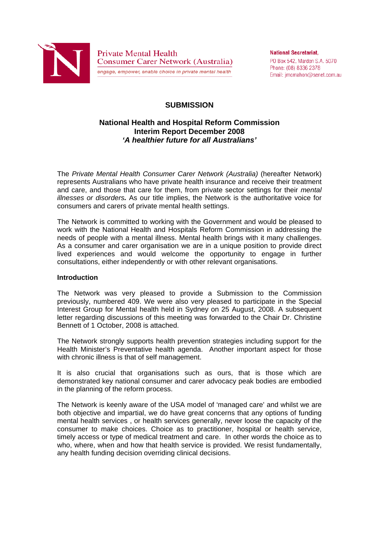

**Private Mental Health Consumer Carer Network (Australia)** engage, empower, enable choice in private mental health

**National Secretariat.** PO Box 542, Marden S.A. 5070 Phone: (08) 8336 2378 Email: imcmahon@senet.com.au

## **SUBMISSION**

### **National Health and Hospital Reform Commission Interim Report December 2008**  *'A healthier future for all Australians'*

The *Private Mental Health Consumer Carer Network (Australia)* (hereafter Network) represents Australians who have private health insurance and receive their treatment and care, and those that care for them, from private sector settings for their *mental illnesses or disorders.* As our title implies, the Network is the authoritative voice for consumers and carers of private mental health settings.

The Network is committed to working with the Government and would be pleased to work with the National Health and Hospitals Reform Commission in addressing the needs of people with a mental illness. Mental health brings with it many challenges. As a consumer and carer organisation we are in a unique position to provide direct lived experiences and would welcome the opportunity to engage in further consultations, either independently or with other relevant organisations.

### **Introduction**

The Network was very pleased to provide a Submission to the Commission previously, numbered 409. We were also very pleased to participate in the Special Interest Group for Mental health held in Sydney on 25 August, 2008. A subsequent letter regarding discussions of this meeting was forwarded to the Chair Dr. Christine Bennett of 1 October, 2008 is attached.

The Network strongly supports health prevention strategies including support for the Health Minister's Preventative health agenda. Another important aspect for those with chronic illness is that of self management.

It is also crucial that organisations such as ours, that is those which are demonstrated key national consumer and carer advocacy peak bodies are embodied in the planning of the reform process.

The Network is keenly aware of the USA model of 'managed care' and whilst we are both objective and impartial, we do have great concerns that any options of funding mental health services , or health services generally, never loose the capacity of the consumer to make choices. Choice as to practitioner, hospital or health service, timely access or type of medical treatment and care. In other words the choice as to who, where, when and how that health service is provided. We resist fundamentally, any health funding decision overriding clinical decisions.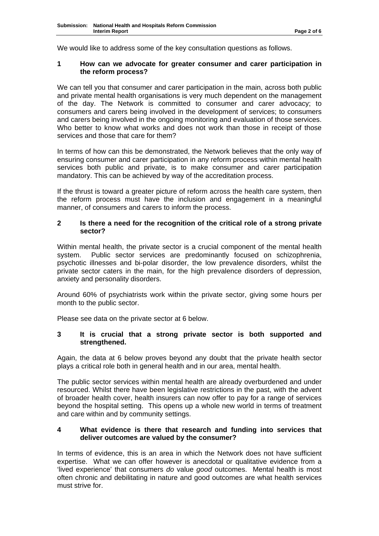We would like to address some of the key consultation questions as follows.

### **1 How can we advocate for greater consumer and carer participation in the reform process?**

We can tell you that consumer and carer participation in the main, across both public and private mental health organisations is very much dependent on the management of the day. The Network is committed to consumer and carer advocacy; to consumers and carers being involved in the development of services; to consumers and carers being involved in the ongoing monitoring and evaluation of those services. Who better to know what works and does not work than those in receipt of those services and those that care for them?

In terms of how can this be demonstrated, the Network believes that the only way of ensuring consumer and carer participation in any reform process within mental health services both public and private, is to make consumer and carer participation mandatory. This can be achieved by way of the accreditation process.

If the thrust is toward a greater picture of reform across the health care system, then the reform process must have the inclusion and engagement in a meaningful manner, of consumers and carers to inform the process.

### **2 Is there a need for the recognition of the critical role of a strong private sector?**

Within mental health, the private sector is a crucial component of the mental health system. Public sector services are predominantly focused on schizophrenia, psychotic illnesses and bi-polar disorder, the low prevalence disorders, whilst the private sector caters in the main, for the high prevalence disorders of depression, anxiety and personality disorders.

Around 60% of psychiatrists work within the private sector, giving some hours per month to the public sector.

Please see data on the private sector at 6 below.

### **3 It is crucial that a strong private sector is both supported and strengthened.**

Again, the data at 6 below proves beyond any doubt that the private health sector plays a critical role both in general health and in our area, mental health.

The public sector services within mental health are already overburdened and under resourced. Whilst there have been legislative restrictions in the past, with the advent of broader health cover, health insurers can now offer to pay for a range of services beyond the hospital setting. This opens up a whole new world in terms of treatment and care within and by community settings.

### **4 What evidence is there that research and funding into services that deliver outcomes are valued by the consumer?**

In terms of evidence, this is an area in which the Network does not have sufficient expertise. What we can offer however is anecdotal or qualitative evidence from a 'lived experience' that consumers *do* value *good* outcomes. Mental health is most often chronic and debilitating in nature and good outcomes are what health services must strive for.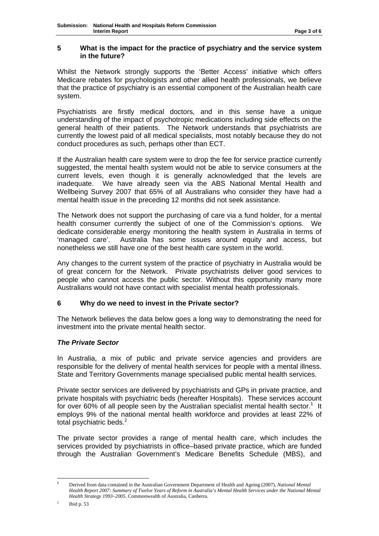### **5 What is the impact for the practice of psychiatry and the service system in the future?**

Whilst the Network strongly supports the 'Better Access' initiative which offers Medicare rebates for psychologists and other allied health professionals, we believe that the practice of psychiatry is an essential component of the Australian health care system.

Psychiatrists are firstly medical doctors, and in this sense have a unique understanding of the impact of psychotropic medications including side effects on the general health of their patients. The Network understands that psychiatrists are currently the lowest paid of all medical specialists, most notably because they do not conduct procedures as such, perhaps other than ECT.

If the Australian health care system were to drop the fee for service practice currently suggested, the mental health system would not be able to service consumers at the current levels, even though it is generally acknowledged that the levels are inadequate. We have already seen via the ABS National Mental Health and Wellbeing Survey 2007 that 65% of all Australians who consider they have had a mental health issue in the preceding 12 months did not seek assistance.

The Network does not support the purchasing of care via a fund holder, for a mental health consumer currently the subject of one of the Commission's options. We dedicate considerable energy monitoring the health system in Australia in terms of 'managed care'. Australia has some issues around equity and access, but nonetheless we still have one of the best health care system in the world.

Any changes to the current system of the practice of psychiatry in Australia would be of great concern for the Network. Private psychiatrists deliver good services to people who cannot access the public sector. Without this opportunity many more Australians would not have contact with specialist mental health professionals.

### **6 Why do we need to invest in the Private sector?**

The Network believes the data below goes a long way to demonstrating the need for investment into the private mental health sector.

## *The Private Sector*

In Australia, a mix of public and private service agencies and providers are responsible for the delivery of mental health services for people with a mental illness. State and Territory Governments manage specialised public mental health services.

Private sector services are delivered by psychiatrists and GPs in private practice, and private hospitals with psychiatric beds (hereafter Hospitals). These services account for over 60% of all people seen by the Australian specialist mental health sector.<sup>1</sup> It employs 9% of the national mental health workforce and provides at least 22% of total psychiatric beds.<sup>2</sup>

The private sector provides a range of mental health care, which includes the services provided by psychiatrists in office–based private practice, which are funded through the Australian Government's Medicare Benefits Schedule (MBS), and

 $\mathbf{1}$ **<sup>1</sup>** Derived from data contained in the Australian Government Department of Health and Ageing (2007), *National Mental Health Report 2007: Summary of Twelve Years of Reform in Australia's Mental Health Services under the National Mental Health Strategy 1993–2005*. Commonwealth of Australia, Canberra.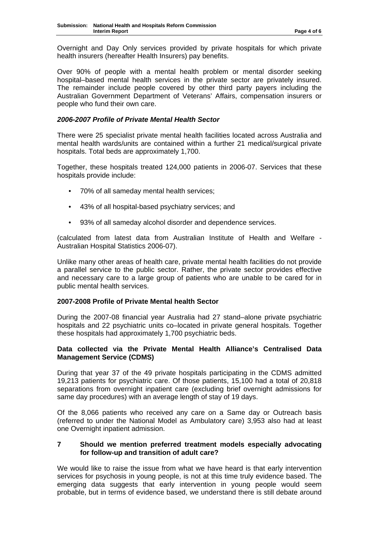Overnight and Day Only services provided by private hospitals for which private health insurers (hereafter Health Insurers) pay benefits.

Over 90% of people with a mental health problem or mental disorder seeking hospital–based mental health services in the private sector are privately insured. The remainder include people covered by other third party payers including the Australian Government Department of Veterans' Affairs, compensation insurers or people who fund their own care.

### *2006-2007 Profile of Private Mental Health Sector*

There were 25 specialist private mental health facilities located across Australia and mental health wards/units are contained within a further 21 medical/surgical private hospitals. Total beds are approximately 1,700.

Together, these hospitals treated 124,000 patients in 2006-07. Services that these hospitals provide include:

- 70% of all sameday mental health services;
- 43% of all hospital-based psychiatry services; and
- 93% of all sameday alcohol disorder and dependence services.

(calculated from latest data from Australian Institute of Health and Welfare - Australian Hospital Statistics 2006-07).

Unlike many other areas of health care, private mental health facilities do not provide a parallel service to the public sector. Rather, the private sector provides effective and necessary care to a large group of patients who are unable to be cared for in public mental health services.

### **2007-2008 Profile of Private Mental health Sector**

During the 2007-08 financial year Australia had 27 stand–alone private psychiatric hospitals and 22 psychiatric units co–located in private general hospitals. Together these hospitals had approximately 1,700 psychiatric beds.

### **Data collected via the Private Mental Health Alliance's Centralised Data Management Service (CDMS)**

During that year 37 of the 49 private hospitals participating in the CDMS admitted 19,213 patients for psychiatric care. Of those patients, 15,100 had a total of 20,818 separations from overnight inpatient care (excluding brief overnight admissions for same day procedures) with an average length of stay of 19 days.

Of the 8,066 patients who received any care on a Same day or Outreach basis (referred to under the National Model as Ambulatory care) 3,953 also had at least one Overnight inpatient admission.

### **7 Should we mention preferred treatment models especially advocating for follow-up and transition of adult care?**

We would like to raise the issue from what we have heard is that early intervention services for psychosis in young people, is not at this time truly evidence based. The emerging data suggests that early intervention in young people would seem probable, but in terms of evidence based, we understand there is still debate around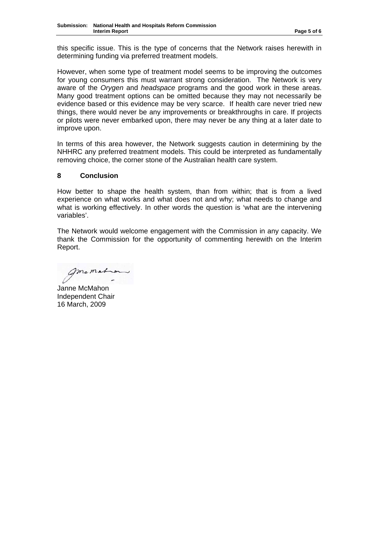this specific issue. This is the type of concerns that the Network raises herewith in determining funding via preferred treatment models.

However, when some type of treatment model seems to be improving the outcomes for young consumers this must warrant strong consideration. The Network is very aware of the *Orygen* and *headspace* programs and the good work in these areas. Many good treatment options can be omitted because they may not necessarily be evidence based or this evidence may be very scarce. If health care never tried new things, there would never be any improvements or breakthroughs in care. If projects or pilots were never embarked upon, there may never be any thing at a later date to improve upon.

In terms of this area however, the Network suggests caution in determining by the NHHRC any preferred treatment models. This could be interpreted as fundamentally removing choice, the corner stone of the Australian health care system.

### **8 Conclusion**

How better to shape the health system, than from within; that is from a lived experience on what works and what does not and why; what needs to change and what is working effectively. In other words the question is 'what are the intervening variables'.

The Network would welcome engagement with the Commission in any capacity. We thank the Commission for the opportunity of commenting herewith on the Interim Report.

mcmat

Janne McMahon Independent Chair 16 March, 2009